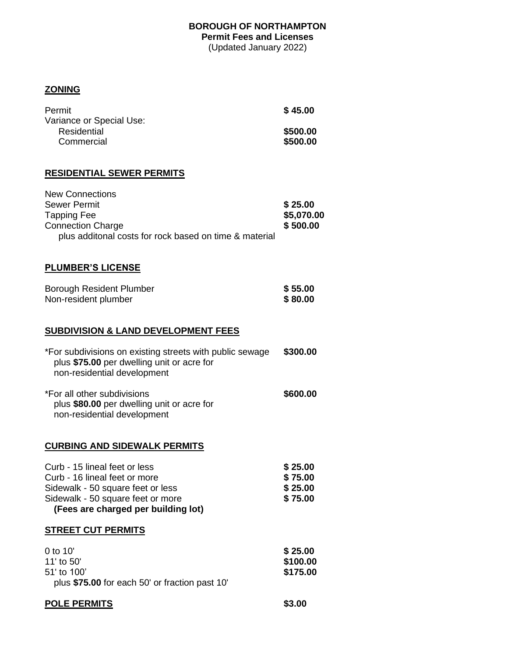# **BOROUGH OF NORTHAMPTON Permit Fees and Licenses**

(Updated January 2022)

# **ZONING**

| \$45.00  |
|----------|
|          |
| \$500.00 |
| \$500.00 |
|          |

## **RESIDENTIAL SEWER PERMITS**

| <b>New Connections</b><br><b>Sewer Permit</b><br><b>Tapping Fee</b><br><b>Connection Charge</b><br>plus additonal costs for rock based on time & material                       | \$25.00<br>\$5,070.00<br>\$500.00        |
|---------------------------------------------------------------------------------------------------------------------------------------------------------------------------------|------------------------------------------|
| <b>PLUMBER'S LICENSE</b>                                                                                                                                                        |                                          |
| <b>Borough Resident Plumber</b><br>Non-resident plumber                                                                                                                         | \$55.00<br>\$80.00                       |
| <b>SUBDIVISION &amp; LAND DEVELOPMENT FEES</b>                                                                                                                                  |                                          |
| *For subdivisions on existing streets with public sewage<br>plus \$75.00 per dwelling unit or acre for<br>non-residential development                                           | \$300.00                                 |
| *For all other subdivisions<br>plus \$80.00 per dwelling unit or acre for<br>non-residential development                                                                        | \$600.00                                 |
| <b>CURBING AND SIDEWALK PERMITS</b>                                                                                                                                             |                                          |
| Curb - 15 lineal feet or less<br>Curb - 16 lineal feet or more<br>Sidewalk - 50 square feet or less<br>Sidewalk - 50 square feet or more<br>(Fees are charged per building lot) | \$25.00<br>\$75.00<br>\$25.00<br>\$75.00 |
| <b>STREET CUT PERMITS</b>                                                                                                                                                       |                                          |
| 0 to 10'<br>11' to 50'<br>51' to 100'<br>plus \$75.00 for each 50' or fraction past 10'                                                                                         | \$25.00<br>\$100.00<br>\$175.00          |

| <b>POLE PERMITS</b> | \$3.00 |
|---------------------|--------|
|                     |        |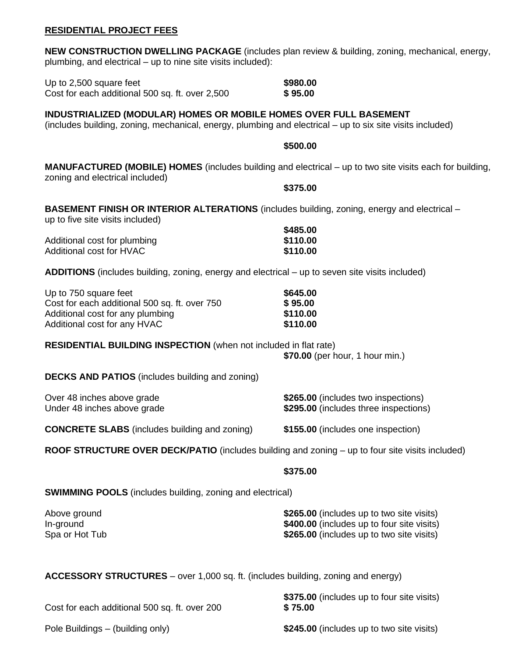#### **RESIDENTIAL PROJECT FEES**

| <b>NEW CONSTRUCTION DWELLING PACKAGE</b> (includes plan review & building, zoning, mechanical, energy,<br>plumbing, and electrical – up to nine site visits included):         |                                                                              |
|--------------------------------------------------------------------------------------------------------------------------------------------------------------------------------|------------------------------------------------------------------------------|
| Up to 2,500 square feet<br>Cost for each additional 500 sq. ft. over 2,500                                                                                                     | \$980.00<br>\$95.00                                                          |
| INDUSTRIALIZED (MODULAR) HOMES OR MOBILE HOMES OVER FULL BASEMENT<br>(includes building, zoning, mechanical, energy, plumbing and electrical – up to six site visits included) |                                                                              |
|                                                                                                                                                                                | \$500.00                                                                     |
| <b>MANUFACTURED (MOBILE) HOMES</b> (includes building and electrical – up to two site visits each for building,<br>zoning and electrical included)                             |                                                                              |
|                                                                                                                                                                                | \$375.00                                                                     |
| <b>BASEMENT FINISH OR INTERIOR ALTERATIONS</b> (includes building, zoning, energy and electrical –<br>up to five site visits included)                                         |                                                                              |
| Additional cost for plumbing                                                                                                                                                   | \$485.00<br>\$110.00                                                         |
| Additional cost for HVAC                                                                                                                                                       | \$110.00                                                                     |
| ADDITIONS (includes building, zoning, energy and electrical – up to seven site visits included)                                                                                |                                                                              |
| Up to 750 square feet                                                                                                                                                          | \$645.00                                                                     |
| Cost for each additional 500 sq. ft. over 750<br>Additional cost for any plumbing                                                                                              | \$95.00<br>\$110.00                                                          |
| Additional cost for any HVAC                                                                                                                                                   | \$110.00                                                                     |
| <b>RESIDENTIAL BUILDING INSPECTION</b> (when not included in flat rate)                                                                                                        | \$70.00 (per hour, 1 hour min.)                                              |
| <b>DECKS AND PATIOS</b> (includes building and zoning)                                                                                                                         |                                                                              |
| Over 48 inches above grade<br>Under 48 inches above grade                                                                                                                      | \$265.00 (includes two inspections)<br>\$295.00 (includes three inspections) |
| <b>CONCRETE SLABS</b> (includes building and zoning)                                                                                                                           | \$155.00 (includes one inspection)                                           |
| ROOF STRUCTURE OVER DECK/PATIO (includes building and zoning – up to four site visits included)                                                                                |                                                                              |
|                                                                                                                                                                                | \$375.00                                                                     |
| <b>SWIMMING POOLS</b> (includes building, zoning and electrical)                                                                                                               |                                                                              |
| Above ground                                                                                                                                                                   | \$265.00 (includes up to two site visits)                                    |

| Above ground   | \$265.00 (includes up to two site visits)  |
|----------------|--------------------------------------------|
| In-ground      | \$400.00 (includes up to four site visits) |
| Spa or Hot Tub | \$265.00 (includes up to two site visits)  |

**ACCESSORY STRUCTURES** – over 1,000 sq. ft. (includes building, zoning and energy)

| Cost for each additional 500 sq. ft. over 200 | \$375.00 (includes up to four site visits)<br>\$75.00 |
|-----------------------------------------------|-------------------------------------------------------|
| Pole Buildings – (building only)              | \$245.00 (includes up to two site visits)             |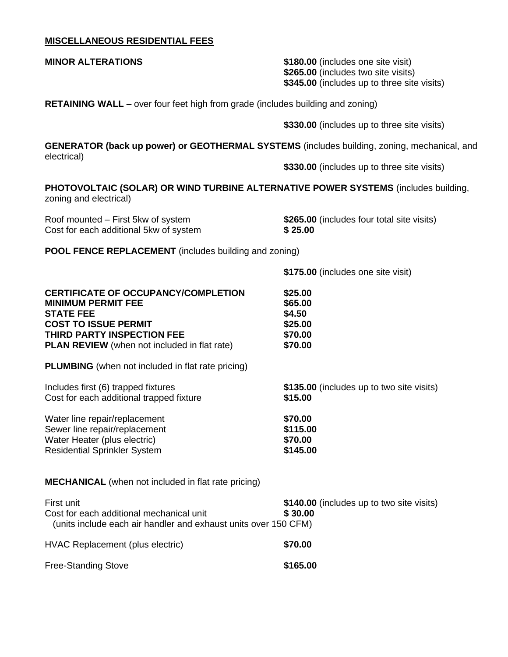## **MISCELLANEOUS RESIDENTIAL FEES**

| <b>MINOR ALTERATIONS</b>                                                                                                                                                                                        | \$180.00 (includes one site visit)<br>\$265.00 (includes two site visits)<br>\$345.00 (includes up to three site visits) |
|-----------------------------------------------------------------------------------------------------------------------------------------------------------------------------------------------------------------|--------------------------------------------------------------------------------------------------------------------------|
| <b>RETAINING WALL</b> – over four feet high from grade (includes building and zoning)                                                                                                                           |                                                                                                                          |
|                                                                                                                                                                                                                 | \$330.00 (includes up to three site visits)                                                                              |
| GENERATOR (back up power) or GEOTHERMAL SYSTEMS (includes building, zoning, mechanical, and<br>electrical)                                                                                                      |                                                                                                                          |
|                                                                                                                                                                                                                 | \$330.00 (includes up to three site visits)                                                                              |
| <b>PHOTOVOLTAIC (SOLAR) OR WIND TURBINE ALTERNATIVE POWER SYSTEMS (includes building,</b><br>zoning and electrical)                                                                                             |                                                                                                                          |
| Roof mounted – First 5kw of system<br>Cost for each additional 5kw of system                                                                                                                                    | \$265.00 (includes four total site visits)<br>\$25.00                                                                    |
| <b>POOL FENCE REPLACEMENT</b> (includes building and zoning)                                                                                                                                                    |                                                                                                                          |
|                                                                                                                                                                                                                 | \$175.00 (includes one site visit)                                                                                       |
| <b>CERTIFICATE OF OCCUPANCY/COMPLETION</b><br><b>MINIMUM PERMIT FEE</b><br><b>STATE FEE</b><br><b>COST TO ISSUE PERMIT</b><br>THIRD PARTY INSPECTION FEE<br><b>PLAN REVIEW</b> (when not included in flat rate) | \$25.00<br>\$65.00<br>\$4.50<br>\$25.00<br>\$70.00<br>\$70.00                                                            |
| <b>PLUMBING</b> (when not included in flat rate pricing)                                                                                                                                                        |                                                                                                                          |
| Includes first (6) trapped fixtures<br>Cost for each additional trapped fixture                                                                                                                                 | \$135.00 (includes up to two site visits)<br>\$15.00                                                                     |
| Water line repair/replacement<br>Sewer line repair/replacement<br>Water Heater (plus electric)<br><b>Residential Sprinkler System</b>                                                                           | \$70.00<br>\$115.00<br>\$70.00<br>\$145.00                                                                               |
| <b>MECHANICAL</b> (when not included in flat rate pricing)                                                                                                                                                      |                                                                                                                          |
| First unit<br>Cost for each additional mechanical unit<br>(units include each air handler and exhaust units over 150 CFM)                                                                                       | \$140.00 (includes up to two site visits)<br>\$30.00                                                                     |
| HVAC Replacement (plus electric)                                                                                                                                                                                | \$70.00                                                                                                                  |
| <b>Free-Standing Stove</b>                                                                                                                                                                                      | \$165.00                                                                                                                 |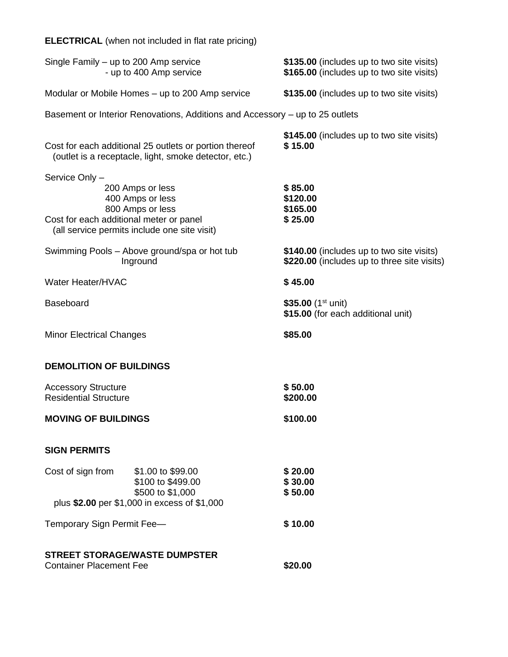| Single Family – up to 200 Amp service<br>- up to 400 Amp service |                                                                                                                 | \$135.00 (includes up to two site visits)<br>\$165.00 (includes up to two site visits)   |
|------------------------------------------------------------------|-----------------------------------------------------------------------------------------------------------------|------------------------------------------------------------------------------------------|
| Modular or Mobile Homes – up to 200 Amp service                  |                                                                                                                 | \$135.00 (includes up to two site visits)                                                |
|                                                                  | Basement or Interior Renovations, Additions and Accessory – up to 25 outlets                                    |                                                                                          |
|                                                                  | Cost for each additional 25 outlets or portion thereof<br>(outlet is a receptacle, light, smoke detector, etc.) | \$145.00 (includes up to two site visits)<br>\$15.00                                     |
| Service Only -<br>Cost for each additional meter or panel        | 200 Amps or less<br>400 Amps or less<br>800 Amps or less<br>(all service permits include one site visit)        | \$85.00<br>\$120.00<br>\$165.00<br>\$25.00                                               |
|                                                                  | Swimming Pools - Above ground/spa or hot tub<br>Inground                                                        | \$140.00 (includes up to two site visits)<br>\$220.00 (includes up to three site visits) |
| Water Heater/HVAC                                                |                                                                                                                 | \$45.00                                                                                  |
| <b>Baseboard</b>                                                 |                                                                                                                 | \$35.00 $(1^{st}$ unit)<br>\$15.00 (for each additional unit)                            |
| <b>Minor Electrical Changes</b>                                  |                                                                                                                 | \$85.00                                                                                  |
| <b>DEMOLITION OF BUILDINGS</b>                                   |                                                                                                                 |                                                                                          |
| <b>Accessory Structure</b><br><b>Residential Structure</b>       |                                                                                                                 | \$50.00<br>\$200.00                                                                      |
| <b>MOVING OF BUILDINGS</b>                                       |                                                                                                                 | \$100.00                                                                                 |
| <b>SIGN PERMITS</b>                                              |                                                                                                                 |                                                                                          |
| Cost of sign from                                                | \$1.00 to \$99.00<br>\$100 to \$499.00<br>\$500 to \$1,000<br>plus \$2.00 per \$1,000 in excess of \$1,000      | \$20.00<br>\$30.00<br>\$50.00                                                            |
| Temporary Sign Permit Fee-                                       |                                                                                                                 | \$10.00                                                                                  |
| <b>Container Placement Fee</b>                                   | <b>STREET STORAGE/WASTE DUMPSTER</b>                                                                            | \$20.00                                                                                  |

**ELECTRICAL** (when not included in flat rate pricing)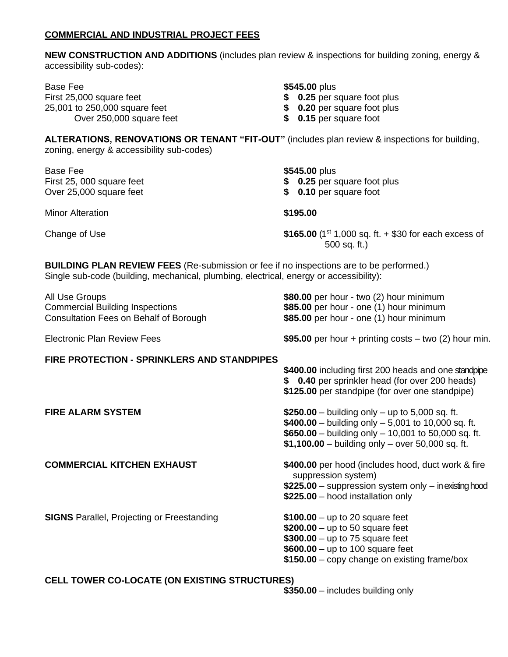#### **COMMERCIAL AND INDUSTRIAL PROJECT FEES**

**NEW CONSTRUCTION AND ADDITIONS** (includes plan review & inspections for building zoning, energy & accessibility sub-codes):

Base Fee **\$545.00** plus First 25,000 square feet **\$ 0.25** per square foot plus 25,001 to 250,000 square feet **\$ 0.20** per square foot plus Over 250,000 square feet **\$ 0.15** per square foot

- 
- 

**ALTERATIONS, RENOVATIONS OR TENANT "FIT-OUT"** (includes plan review & inspections for building, zoning, energy & accessibility sub-codes)

| Base Fee<br>First 25, 000 square feet<br>Over 25,000 square feet | \$545.00 plus<br>\$ 0.25 per square foot plus<br>\$ 0.10 per square foot     |
|------------------------------------------------------------------|------------------------------------------------------------------------------|
| <b>Minor Alteration</b>                                          | \$195.00                                                                     |
| Change of Use                                                    | \$165.00 $(1^{st} 1,000$ sq. ft. + \$30 for each excess of<br>$500$ sq. ft.) |

**BUILDING PLAN REVIEW FEES** (Re-submission or fee if no inspections are to be performed.) Single sub-code (building, mechanical, plumbing, electrical, energy or accessibility):

All Use Groups<br> **All Use Groups**<br> **\$80.00** per hour - two (2) hour minimum<br> **\$85.00** per hour - one (1) hour minimum Consultation Fees on Behalf of Borough **\$85.00** per hour - one (1) hour minimum

**FIRE PROTECTION - SPRINKLERS AND STANDPIPES**

Electronic Plan Review Fees **\$95.00** per hour + printing costs – two (2) hour min.

\$400.00 including first 200 heads and one standpipe **\$ 0.40** per sprinkler head (for over 200 heads) **\$125.00** per standpipe (for over one standpipe)

\$85.00 per hour - one (1) hour minimum

**FIRE ALARM SYSTEM \$250.00** – building only – up to 5,000 sq. ft. **\$400.00** – building only – 5,001 to 10,000 sq. ft. **\$650.00** – building only – 10,001 to 50,000 sq. ft. **\$1,100.00** – building only – over 50,000 sq. ft.

**COMMERCIAL KITCHEN EXHAUST** \$400.00 per hood (includes hood, duct work & fire suppression system) **\$225.00** – suppression system only – in existing hood **\$225.00** – hood installation only

**SIGNS** Parallel, Projecting or Freestanding **\$100.00** – up to 20 square feet

**\$200.00** – up to 50 square feet **\$300.00** – up to 75 square feet

- **\$600.00** up to 100 square feet
- **\$150.00** copy change on existing frame/box

### **CELL TOWER CO-LOCATE (ON EXISTING STRUCTURES)**

**\$350.00** – includes building only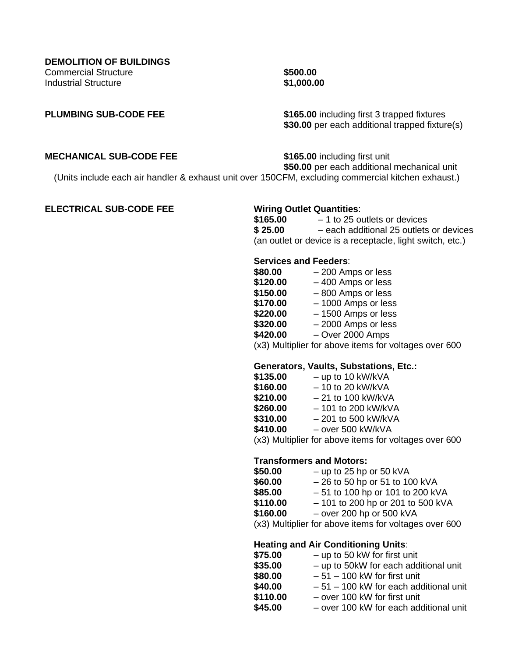**PLUMBING SUB-CODE FEE \$165.00** including first 3 trapped fixtures **\$30.00** per each additional trapped fixture(s)

#### **MECHANICAL SUB-CODE FEE** \$165.00 including first unit

**\$50.00** per each additional mechanical unit

(Units include each air handler & exhaust unit over 150CFM, excluding commercial kitchen exhaust.)

#### **ELECTRICAL SUB-CODE FEE Wiring Outlet Quantities**:

**\$165.00** – 1 to 25 outlets or devices **\$ 25.00** – each additional 25 outlets or devices (an outlet or device is a receptacle, light switch, etc.)

#### **Services and Feeders**:

| \$80.00  | - 200 Amps or less                            |
|----------|-----------------------------------------------|
| \$120.00 | -400 Amps or less                             |
| \$150.00 | -800 Amps or less                             |
| \$170.00 | - 1000 Amps or less                           |
| \$220.00 | - 1500 Amps or less                           |
| \$320.00 | - 2000 Amps or less                           |
| \$420.00 | $-$ Over 2000 Amps                            |
|          | $(0.0)$ Multiplies for the set it are formed. |

(x3) Multiplier for above items for voltages over 600

### **Generators, Vaults, Substations, Etc.:**

| \$135.00 | $-$ up to 10 kW/kVA  |
|----------|----------------------|
| \$160.00 | $-10$ to 20 kW/kVA   |
| \$210.00 | $-21$ to 100 kW/kVA  |
| \$260.00 | $-101$ to 200 kW/kVA |
| \$310.00 | $-201$ to 500 kW/kVA |
| \$410.00 | - over 500 kW/kVA    |
|          |                      |

(x3) Multiplier for above items for voltages over 600

### **Transformers and Motors:**

| \$50.00  | $-$ up to 25 hp or 50 kVA          |
|----------|------------------------------------|
| \$60.00  | $-26$ to 50 hp or 51 to 100 kVA    |
| \$85.00  | $-51$ to 100 hp or 101 to 200 kVA  |
| \$110.00 | $-101$ to 200 hp or 201 to 500 kVA |
| \$160.00 | $-$ over 200 hp or 500 kVA         |

(x3) Multiplier for above items for voltages over 600

#### **Heating and Air Conditioning Units**:

| \$75.00  | - up to 50 kW for first unit            |
|----------|-----------------------------------------|
| \$35.00  | - up to 50kW for each additional unit   |
| \$80.00  | $-51 - 100$ kW for first unit           |
| \$40.00  | $-51 - 100$ kW for each additional unit |
| \$110.00 | - over 100 kW for first unit            |
| \$45.00  | - over 100 kW for each additional unit  |